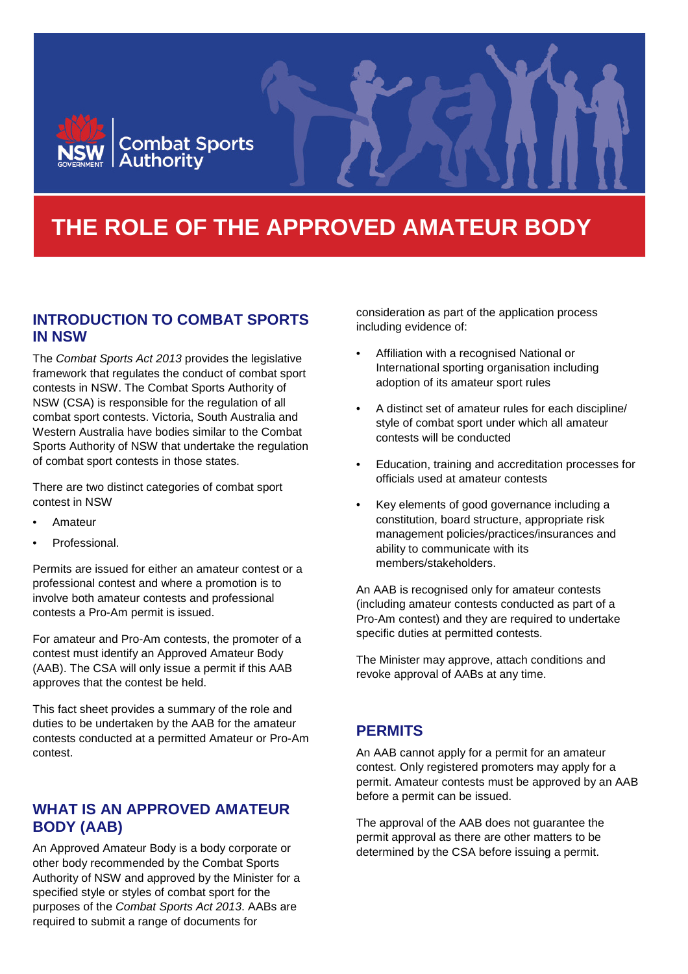

# **THE ROLE OF THE APPROVED AMATEUR BODY**

## **INTRODUCTION TO COMBAT SPORTS IN NSW**

The *Combat Sports Act 2013* provides the legislative framework that regulates the conduct of combat sport contests in NSW. The Combat Sports Authority of NSW (CSA) is responsible for the regulation of all combat sport contests. Victoria, South Australia and Western Australia have bodies similar to the Combat Sports Authority of NSW that undertake the regulation of combat sport contests in those states.

There are two distinct categories of combat sport contest in NSW

- Amateur
- Professional.

Permits are issued for either an amateur contest or a professional contest and where a promotion is to involve both amateur contests and professional contests a Pro-Am permit is issued.

For amateur and Pro-Am contests, the promoter of a contest must identify an Approved Amateur Body (AAB). The CSA will only issue a permit if this AAB approves that the contest be held.

This fact sheet provides a summary of the role and duties to be undertaken by the AAB for the amateur contests conducted at a permitted Amateur or Pro-Am contest.

# **WHAT IS AN APPROVED AMATEUR BODY (AAB)**

An Approved Amateur Body is a body corporate or other body recommended by the Combat Sports Authority of NSW and approved by the Minister for a specified style or styles of combat sport for the purposes of the *Combat Sports Act 2013*. AABs are required to submit a range of documents for

consideration as part of the application process including evidence of:

- Affiliation with a recognised National or International sporting organisation including adoption of its amateur sport rules
- A distinct set of amateur rules for each discipline/ style of combat sport under which all amateur contests will be conducted
- Education, training and accreditation processes for officials used at amateur contests
- Key elements of good governance including a constitution, board structure, appropriate risk management policies/practices/insurances and ability to communicate with its members/stakeholders.

An AAB is recognised only for amateur contests (including amateur contests conducted as part of a Pro-Am contest) and they are required to undertake specific duties at permitted contests.

The Minister may approve, attach conditions and revoke approval of AABs at any time.

## **PERMITS**

An AAB cannot apply for a permit for an amateur contest. Only registered promoters may apply for a permit. Amateur contests must be approved by an AAB before a permit can be issued.

The approval of the AAB does not guarantee the permit approval as there are other matters to be determined by the CSA before issuing a permit.